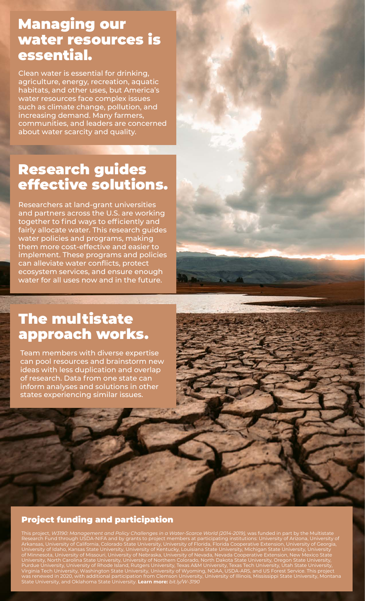#### Managing our water resources is essential.

Clean water is essential for drinking, agriculture, energy, recreation, aquatic habitats, and other uses, but America's water resources face complex issues such as climate change, pollution, and increasing demand. Many farmers, communities, and leaders are concerned about water scarcity and quality.

## Research guides effective solutions.

Researchers at land-grant universities and partners across the U.S. are working together to find ways to efficiently and fairly allocate water. This research guides water policies and programs, making them more cost-effective and easier to implement. These programs and policies can alleviate water conflicts, protect ecosystem services, and ensure enough water for all uses now and in the future.

## The multistate approach works.

Team members with diverse expertise can pool resources and brainstorm new ideas with less duplication and overlap of research. Data from one state can inform analyses and solutions in other states experiencing similar issues.

#### Project funding and participation

This project, *W3190: Management and Policy Challenges in a Water-Scarce World (2014-2019),* was funded in part by the Multistate Research Fund through USDA-NIFA and by grants to project members at participating institutions: University of Arizona, University of Arkansas, University of California, Colorado State University, University of Florida, Florida Cooperative Extension, University of Georgia, University of Idaho, Kansas State University, University of Kentucky, Louisiana State University, Michigan State University, University of Minnesota, University of Missouri, University of Nebraska, University of Nevada, Nevada Cooperative Extension, New Mexico State University, North Carolina State University, University of Northern Colorado, North Dakota State University, Oregon State University, Purdue University, University of Rhode Island, Rutgers University, Texas A&M University, Texas Tech University, Utah State University, Virginia Tech University, Washington State University, University of Wyoming, NOAA, USDA-ARS, and US Forest Service. This project was renewed in 2020, with additional participation from Clemson University, University of Illinois, Mississippi State University, Montana State University, and Oklahoma State University. **Learn more:** *[bit.ly/W-3190](http://bit.ly/W-3190)*